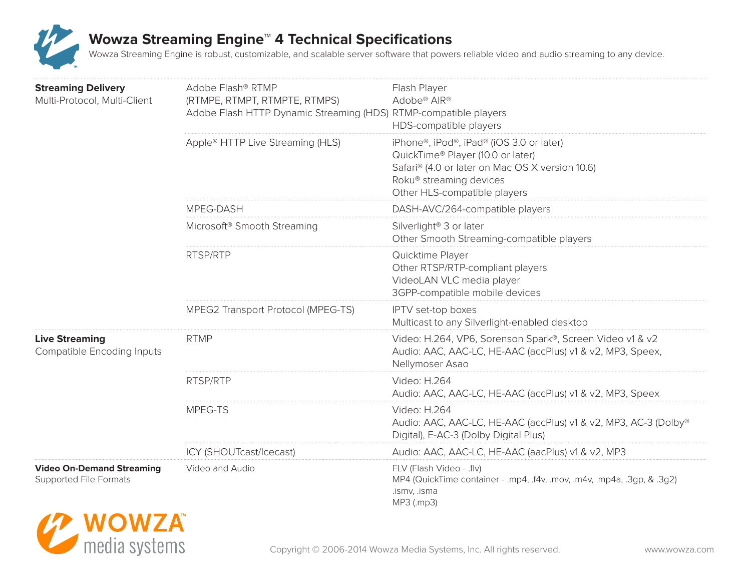

| <b>Streaming Delivery</b><br>Multi-Protocol, Multi-Client         | Adobe Flash® RTMP<br>(RTMPE, RTMPT, RTMPTE, RTMPS)<br>Adobe Flash HTTP Dynamic Streaming (HDS) RTMP-compatible players | Flash Player<br>Adobe <sup>®</sup> AIR <sup>®</sup><br>HDS-compatible players                                                                                                               |
|-------------------------------------------------------------------|------------------------------------------------------------------------------------------------------------------------|---------------------------------------------------------------------------------------------------------------------------------------------------------------------------------------------|
|                                                                   | Apple® HTTP Live Streaming (HLS)                                                                                       | iPhone®, iPod®, iPad® (iOS 3.0 or later)<br>QuickTime® Player (10.0 or later)<br>Safari® (4.0 or later on Mac OS X version 10.6)<br>Roku® streaming devices<br>Other HLS-compatible players |
|                                                                   | MPEG-DASH                                                                                                              | DASH-AVC/264-compatible players                                                                                                                                                             |
|                                                                   | Microsoft <sup>®</sup> Smooth Streaming                                                                                | Silverlight <sup>®</sup> 3 or later<br>Other Smooth Streaming-compatible players                                                                                                            |
|                                                                   | RTSP/RTP                                                                                                               | Quicktime Player<br>Other RTSP/RTP-compliant players<br>VideoLAN VLC media player<br>3GPP-compatible mobile devices                                                                         |
|                                                                   | MPEG2 Transport Protocol (MPEG-TS)                                                                                     | IPTV set-top boxes<br>Multicast to any Silverlight-enabled desktop                                                                                                                          |
| <b>Live Streaming</b><br><b>Compatible Encoding Inputs</b>        | <b>RTMP</b>                                                                                                            | Video: H.264, VP6, Sorenson Spark®, Screen Video v1 & v2<br>Audio: AAC, AAC-LC, HE-AAC (accPlus) v1 & v2, MP3, Speex,<br>Nellymoser Asao                                                    |
|                                                                   | RTSP/RTP                                                                                                               | Video: H.264<br>Audio: AAC, AAC-LC, HE-AAC (accPlus) v1 & v2, MP3, Speex                                                                                                                    |
|                                                                   | MPEG-TS                                                                                                                | Video: H.264<br>Audio: AAC, AAC-LC, HE-AAC (accPlus) v1 & v2, MP3, AC-3 (Dolby®<br>Digital), E-AC-3 (Dolby Digital Plus)                                                                    |
|                                                                   | ICY (SHOUTcast/Icecast)                                                                                                | Audio: AAC, AAC-LC, HE-AAC (aacPlus) v1 & v2, MP3                                                                                                                                           |
| <b>Video On-Demand Streaming</b><br><b>Supported File Formats</b> | Video and Audio                                                                                                        | FLV (Flash Video - .flv)<br>MP4 (QuickTime container - .mp4, .f4v, .mov, .m4v, .mp4a, .3gp, & .3g2)<br>.ismv, .isma<br>MP3 (.mp3)                                                           |